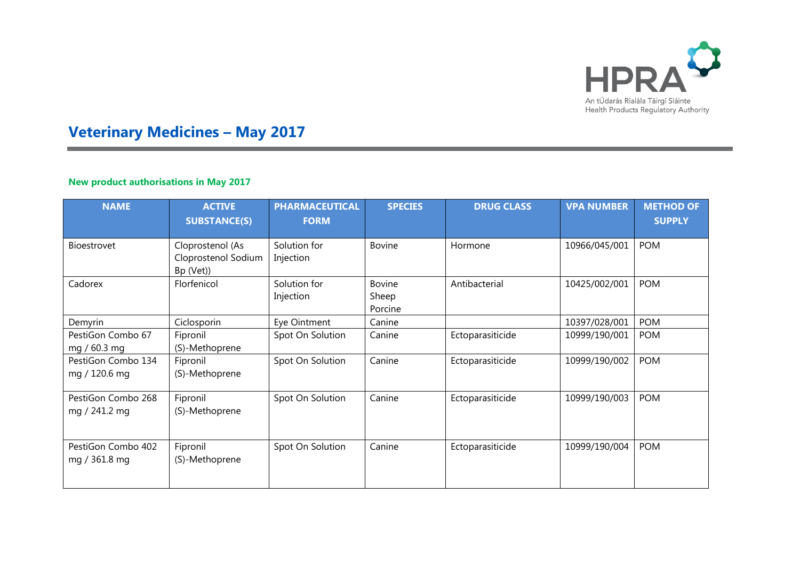

# **Veterinary Medicines – May 2017**

#### **New product authorisations in May 2017**

| <b>NAME</b>                         | <b>ACTIVE</b><br><b>SUBSTANCE(S)</b>                 | <b>PHARMACEUTICAL</b><br><b>FORM</b> | <b>SPECIES</b>                    | <b>DRUG CLASS</b> | <b>VPA NUMBER</b> | <b>METHOD OF</b><br><b>SUPPLY</b> |
|-------------------------------------|------------------------------------------------------|--------------------------------------|-----------------------------------|-------------------|-------------------|-----------------------------------|
|                                     |                                                      |                                      |                                   |                   |                   |                                   |
| <b>Bioestrovet</b>                  | Cloprostenol (As<br>Cloprostenol Sodium<br>Bp (Vet)) | Solution for<br>Injection            | <b>Bovine</b>                     | Hormone           | 10966/045/001     | <b>POM</b>                        |
| Cadorex                             | Florfenicol                                          | Solution for<br>Injection            | <b>Bovine</b><br>Sheep<br>Porcine | Antibacterial     | 10425/002/001     | <b>POM</b>                        |
| Demyrin                             | Ciclosporin                                          | Eye Ointment                         | Canine                            |                   | 10397/028/001     | <b>POM</b>                        |
| PestiGon Combo 67<br>mg / 60.3 mg   | Fipronil<br>(S)-Methoprene                           | Spot On Solution                     | Canine                            | Ectoparasiticide  | 10999/190/001     | <b>POM</b>                        |
| PestiGon Combo 134<br>mg / 120.6 mg | Fipronil<br>(S)-Methoprene                           | Spot On Solution                     | Canine                            | Ectoparasiticide  | 10999/190/002     | <b>POM</b>                        |
| PestiGon Combo 268<br>mg / 241.2 mg | Fipronil<br>(S)-Methoprene                           | Spot On Solution                     | Canine                            | Ectoparasiticide  | 10999/190/003     | <b>POM</b>                        |
| PestiGon Combo 402<br>mg / 361.8 mg | Fipronil<br>(S)-Methoprene                           | Spot On Solution                     | Canine                            | Ectoparasiticide  | 10999/190/004     | <b>POM</b>                        |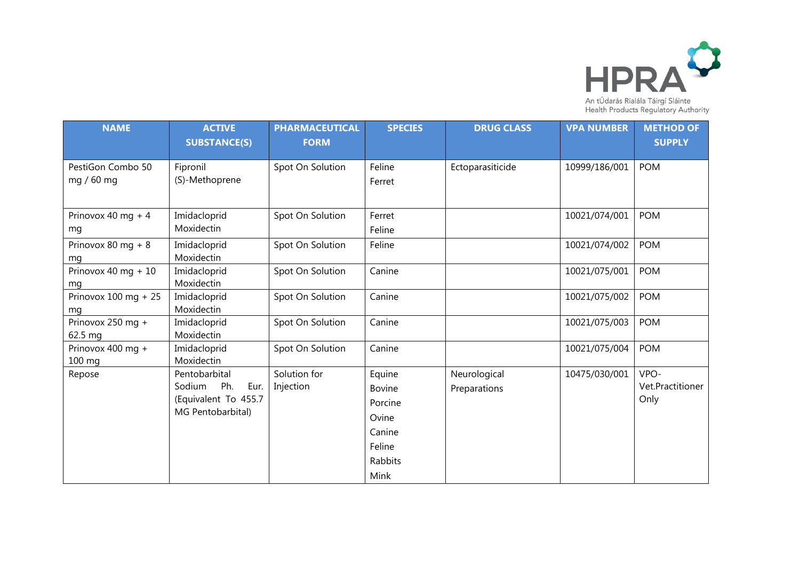

| <b>NAME</b>                     | <b>ACTIVE</b><br><b>SUBSTANCE(S)</b>                                                | <b>PHARMACEUTICAL</b><br><b>FORM</b> | <b>SPECIES</b>                                                              | <b>DRUG CLASS</b>            | <b>VPA NUMBER</b> | <b>METHOD OF</b><br><b>SUPPLY</b> |
|---------------------------------|-------------------------------------------------------------------------------------|--------------------------------------|-----------------------------------------------------------------------------|------------------------------|-------------------|-----------------------------------|
| PestiGon Combo 50<br>mg / 60 mg | Fipronil<br>(S)-Methoprene                                                          | Spot On Solution                     | Feline<br>Ferret                                                            | Ectoparasiticide             | 10999/186/001     | <b>POM</b>                        |
| Prinovox 40 mg + 4<br>mg        | Imidacloprid<br>Moxidectin                                                          | Spot On Solution                     | Ferret<br>Feline                                                            |                              | 10021/074/001     | <b>POM</b>                        |
| Prinovox 80 mg + $8$<br>mq      | Imidacloprid<br>Moxidectin                                                          | Spot On Solution                     | Feline                                                                      |                              | 10021/074/002     | <b>POM</b>                        |
| Prinovox 40 mg + 10<br>mq       | Imidacloprid<br>Moxidectin                                                          | Spot On Solution                     | Canine                                                                      |                              | 10021/075/001     | <b>POM</b>                        |
| Prinovox $100$ mg + 25<br>ma    | Imidacloprid<br>Moxidectin                                                          | Spot On Solution                     | Canine                                                                      |                              | 10021/075/002     | <b>POM</b>                        |
| Prinovox 250 mg +<br>62.5 mg    | Imidacloprid<br>Moxidectin                                                          | Spot On Solution                     | Canine                                                                      |                              | 10021/075/003     | <b>POM</b>                        |
| Prinovox 400 mg +<br>100 mg     | Imidacloprid<br>Moxidectin                                                          | Spot On Solution                     | Canine                                                                      |                              | 10021/075/004     | <b>POM</b>                        |
| Repose                          | Pentobarbital<br>Ph.<br>Sodium<br>Eur.<br>(Equivalent To 455.7<br>MG Pentobarbital) | Solution for<br>Injection            | Equine<br>Bovine<br>Porcine<br>Ovine<br>Canine<br>Feline<br>Rabbits<br>Mink | Neurological<br>Preparations | 10475/030/001     | VPO-<br>Vet.Practitioner<br>Only  |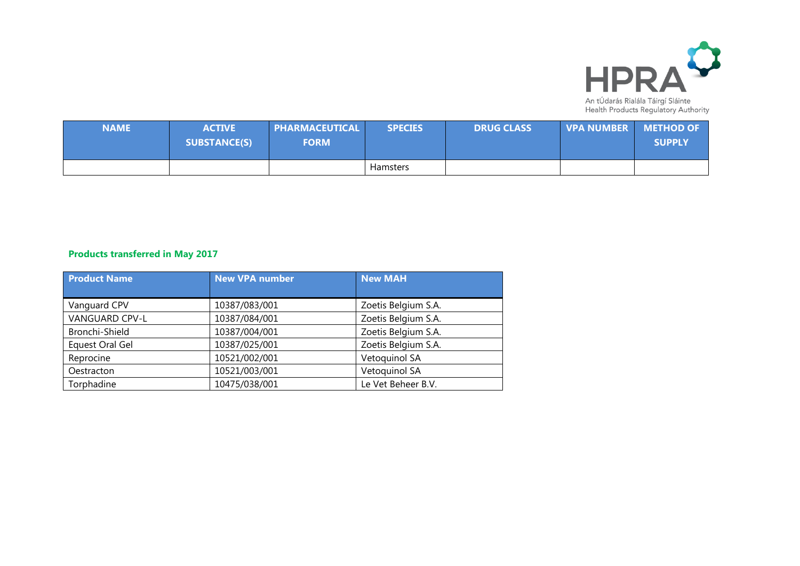

| <b>NAME</b> | <b>ACTIVE</b><br><b>SUBSTANCE(S)</b> | <b>PHARMACEUTICAL \</b><br><b>FORM</b> | <b>SPECIES</b> | <b>DRUG CLASS</b> | <b>UPA NUMBER METHOD OF</b> | <b>SUPPLY</b> |
|-------------|--------------------------------------|----------------------------------------|----------------|-------------------|-----------------------------|---------------|
|             |                                      |                                        | Hamsters       |                   |                             |               |

## **Products transferred in May 2017**

| <b>Product Name</b>   | <b>New VPA number</b> | <b>New MAH</b>      |
|-----------------------|-----------------------|---------------------|
|                       |                       |                     |
| Vanguard CPV          | 10387/083/001         | Zoetis Belgium S.A. |
| <b>VANGUARD CPV-L</b> | 10387/084/001         | Zoetis Belgium S.A. |
| Bronchi-Shield        | 10387/004/001         | Zoetis Belgium S.A. |
| Equest Oral Gel       | 10387/025/001         | Zoetis Belgium S.A. |
| Reprocine             | 10521/002/001         | Vetoquinol SA       |
| Oestracton            | 10521/003/001         | Vetoquinol SA       |
| Torphadine            | 10475/038/001         | Le Vet Beheer B.V.  |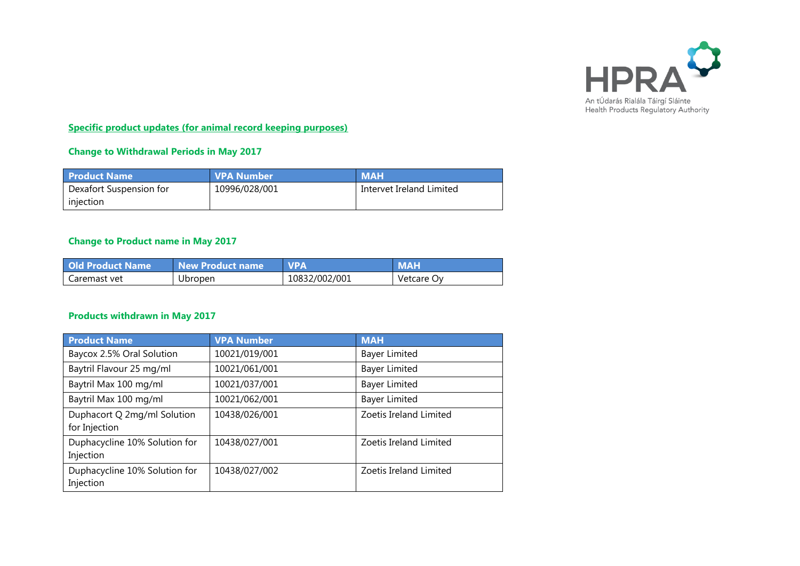

**Specific product updates (for animal record keeping purposes)**

#### **Change to Withdrawal Periods in May 2017**

| <b>Product Name</b>     | <b>VPA Number</b> | <b>MAH</b>               |
|-------------------------|-------------------|--------------------------|
| Dexafort Suspension for | 10996/028/001     | Intervet Ireland Limited |
| injection               |                   |                          |

### **Change to Product name in May 2017**

| <b>Old Product Name</b> | New Product name | <b>VPA</b>    | <b>MAH</b> |
|-------------------------|------------------|---------------|------------|
| Caremast vet            | Ubropen          | 10832/002/001 | Vetcare Ov |

#### **Products withdrawn in May 2017**

| <b>Product Name</b>                          | <b>VPA Number</b> | <b>MAH</b>             |
|----------------------------------------------|-------------------|------------------------|
| Baycox 2.5% Oral Solution                    | 10021/019/001     | <b>Bayer Limited</b>   |
| Baytril Flavour 25 mg/ml                     | 10021/061/001     | <b>Bayer Limited</b>   |
| Baytril Max 100 mg/ml                        | 10021/037/001     | <b>Bayer Limited</b>   |
| Baytril Max 100 mg/ml                        | 10021/062/001     | <b>Bayer Limited</b>   |
| Duphacort Q 2mg/ml Solution<br>for Injection | 10438/026/001     | Zoetis Ireland Limited |
| Duphacycline 10% Solution for<br>Injection   | 10438/027/001     | Zoetis Ireland Limited |
| Duphacycline 10% Solution for<br>Injection   | 10438/027/002     | Zoetis Ireland Limited |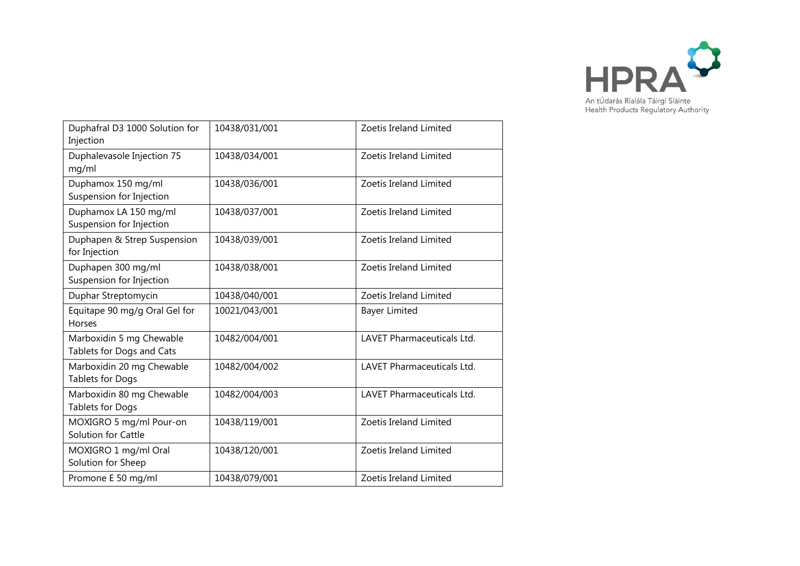

| Duphafral D3 1000 Solution for<br>Injection           | 10438/031/001 | Zoetis Ireland Limited            |
|-------------------------------------------------------|---------------|-----------------------------------|
| Duphalevasole Injection 75<br>mg/ml                   | 10438/034/001 | Zoetis Ireland Limited            |
| Duphamox 150 mg/ml<br>Suspension for Injection        | 10438/036/001 | Zoetis Ireland Limited            |
| Duphamox LA 150 mg/ml<br>Suspension for Injection     | 10438/037/001 | Zoetis Ireland Limited            |
| Duphapen & Strep Suspension<br>for Injection          | 10438/039/001 | Zoetis Ireland Limited            |
| Duphapen 300 mg/ml<br>Suspension for Injection        | 10438/038/001 | Zoetis Ireland Limited            |
| Duphar Streptomycin                                   | 10438/040/001 | Zoetis Ireland Limited            |
| Equitape 90 mg/g Oral Gel for<br><b>Horses</b>        | 10021/043/001 | <b>Bayer Limited</b>              |
| Marboxidin 5 mg Chewable<br>Tablets for Dogs and Cats | 10482/004/001 | <b>LAVET Pharmaceuticals Ltd.</b> |
| Marboxidin 20 mg Chewable<br>Tablets for Dogs         | 10482/004/002 | <b>LAVET Pharmaceuticals Ltd.</b> |
| Marboxidin 80 mg Chewable<br>Tablets for Dogs         | 10482/004/003 | LAVET Pharmaceuticals Ltd.        |
| MOXIGRO 5 mg/ml Pour-on<br>Solution for Cattle        | 10438/119/001 | Zoetis Ireland Limited            |
| MOXIGRO 1 mg/ml Oral<br>Solution for Sheep            | 10438/120/001 | Zoetis Ireland Limited            |
| Promone E 50 mg/ml                                    | 10438/079/001 | Zoetis Ireland Limited            |
|                                                       |               |                                   |